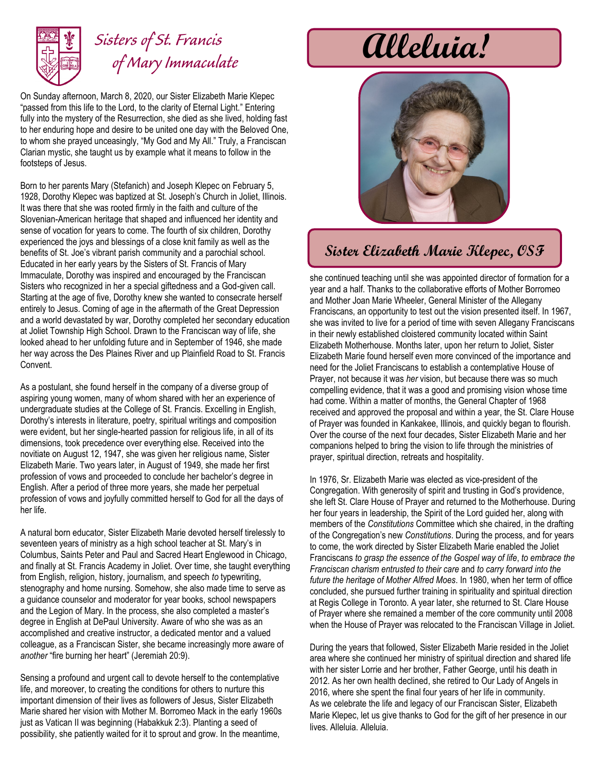

## *Sisters of St. Francis of Mary Immaculate*

On Sunday afternoon, March 8, 2020, our Sister Elizabeth Marie Klepec "passed from this life to the Lord, to the clarity of Eternal Light." Entering fully into the mystery of the Resurrection, she died as she lived, holding fast to her enduring hope and desire to be united one day with the Beloved One, to whom she prayed unceasingly, "My God and My All." Truly, a Franciscan Clarian mystic, she taught us by example what it means to follow in the footsteps of Jesus.

Born to her parents Mary (Stefanich) and Joseph Klepec on February 5, 1928, Dorothy Klepec was baptized at St. Joseph's Church in Joliet, Illinois. It was there that she was rooted firmly in the faith and culture of the Slovenian-American heritage that shaped and influenced her identity and sense of vocation for years to come. The fourth of six children, Dorothy experienced the joys and blessings of a close knit family as well as the benefits of St. Joe's vibrant parish community and a parochial school. Educated in her early years by the Sisters of St. Francis of Mary Immaculate, Dorothy was inspired and encouraged by the Franciscan Sisters who recognized in her a special giftedness and a God-given call. Starting at the age of five, Dorothy knew she wanted to consecrate herself entirely to Jesus. Coming of age in the aftermath of the Great Depression and a world devastated by war, Dorothy completed her secondary education at Joliet Township High School. Drawn to the Franciscan way of life, she looked ahead to her unfolding future and in September of 1946, she made her way across the Des Plaines River and up Plainfield Road to St. Francis Convent.

As a postulant, she found herself in the company of a diverse group of aspiring young women, many of whom shared with her an experience of undergraduate studies at the College of St. Francis. Excelling in English, Dorothy's interests in literature, poetry, spiritual writings and composition were evident, but her single-hearted passion for religious life, in all of its dimensions, took precedence over everything else. Received into the novitiate on August 12, 1947, she was given her religious name, Sister Elizabeth Marie. Two years later, in August of 1949, she made her first profession of vows and proceeded to conclude her bachelor's degree in English. After a period of three more years, she made her perpetual profession of vows and joyfully committed herself to God for all the days of her life.

A natural born educator, Sister Elizabeth Marie devoted herself tirelessly to seventeen years of ministry as a high school teacher at St. Mary's in Columbus, Saints Peter and Paul and Sacred Heart Englewood in Chicago, and finally at St. Francis Academy in Joliet. Over time, she taught everything from English, religion, history, journalism, and speech *to* typewriting, stenography and home nursing. Somehow, she also made time to serve as a guidance counselor and moderator for year books, school newspapers and the Legion of Mary. In the process, she also completed a master's degree in English at DePaul University. Aware of who she was as an accomplished and creative instructor, a dedicated mentor and a valued colleague, as a Franciscan Sister, she became increasingly more aware of *another* "fire burning her heart" (Jeremiah 20:9).

Sensing a profound and urgent call to devote herself to the contemplative life, and moreover, to creating the conditions for others to nurture this important dimension of their lives as followers of Jesus, Sister Elizabeth Marie shared her vision with Mother M. Borromeo Mack in the early 1960s just as Vatican II was beginning (Habakkuk 2:3). Planting a seed of possibility, she patiently waited for it to sprout and grow. In the meantime,

# **Alleluia!**



### **Sister Elizabeth Marie Klepec, OSF**

she continued teaching until she was appointed director of formation for a year and a half. Thanks to the collaborative efforts of Mother Borromeo and Mother Joan Marie Wheeler, General Minister of the Allegany Franciscans, an opportunity to test out the vision presented itself. In 1967, she was invited to live for a period of time with seven Allegany Franciscans in their newly established cloistered community located within Saint Elizabeth Motherhouse. Months later, upon her return to Joliet, Sister Elizabeth Marie found herself even more convinced of the importance and need for the Joliet Franciscans to establish a contemplative House of Prayer, not because it was *her* vision, but because there was so much compelling evidence, that it was a good and promising vision whose time had come. Within a matter of months, the General Chapter of 1968 received and approved the proposal and within a year, the St. Clare House of Prayer was founded in Kankakee, Illinois, and quickly began to flourish. Over the course of the next four decades, Sister Elizabeth Marie and her companions helped to bring the vision to life through the ministries of prayer, spiritual direction, retreats and hospitality.

In 1976, Sr. Elizabeth Marie was elected as vice-president of the Congregation. With generosity of spirit and trusting in God's providence, she left St. Clare House of Prayer and returned to the Motherhouse. During her four years in leadership, the Spirit of the Lord guided her, along with members of the *Constitutions* Committee which she chaired, in the drafting of the Congregation's new *Constitutions*. During the process, and for years to come, the work directed by Sister Elizabeth Marie enabled the Joliet Franciscans *to grasp the essence of the Gospel way of life*, *to embrace the Franciscan charism entrusted to their care* and *to carry forward into the future the heritage of Mother Alfred Moes*. In 1980, when her term of office concluded, she pursued further training in spirituality and spiritual direction at Regis College in Toronto. A year later, she returned to St. Clare House of Prayer where she remained a member of the core community until 2008 when the House of Prayer was relocated to the Franciscan Village in Joliet.

During the years that followed, Sister Elizabeth Marie resided in the Joliet area where she continued her ministry of spiritual direction and shared life with her sister Lorrie and her brother, Father George, until his death in 2012. As her own health declined, she retired to Our Lady of Angels in 2016, where she spent the final four years of her life in community. As we celebrate the life and legacy of our Franciscan Sister, Elizabeth Marie Klepec, let us give thanks to God for the gift of her presence in our lives. Alleluia. Alleluia.